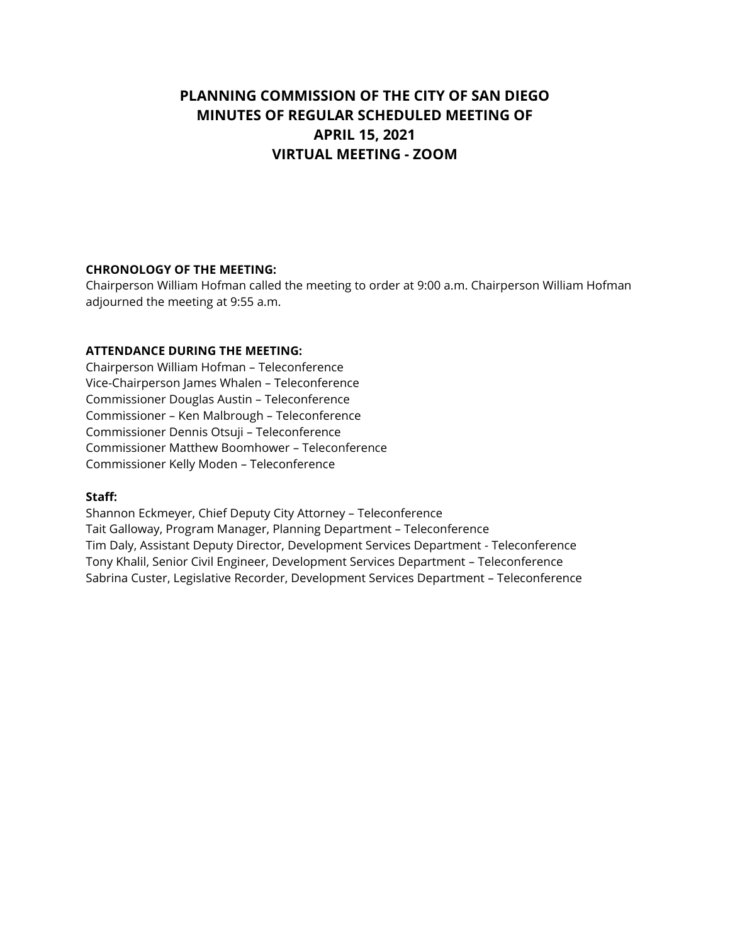# **PLANNING COMMISSION OF THE CITY OF SAN DIEGO MINUTES OF REGULAR SCHEDULED MEETING OF APRIL 15, 2021 VIRTUAL MEETING - ZOOM**

# **CHRONOLOGY OF THE MEETING:**

Chairperson William Hofman called the meeting to order at 9:00 a.m. Chairperson William Hofman adjourned the meeting at 9:55 a.m.

# **ATTENDANCE DURING THE MEETING:**

Chairperson William Hofman – Teleconference Vice-Chairperson James Whalen – Teleconference Commissioner Douglas Austin – Teleconference Commissioner – Ken Malbrough – Teleconference Commissioner Dennis Otsuji – Teleconference Commissioner Matthew Boomhower – Teleconference Commissioner Kelly Moden – Teleconference

#### **Staff:**

Shannon Eckmeyer, Chief Deputy City Attorney – Teleconference Tait Galloway, Program Manager, Planning Department – Teleconference Tim Daly, Assistant Deputy Director, Development Services Department - Teleconference Tony Khalil, Senior Civil Engineer, Development Services Department – Teleconference Sabrina Custer, Legislative Recorder, Development Services Department – Teleconference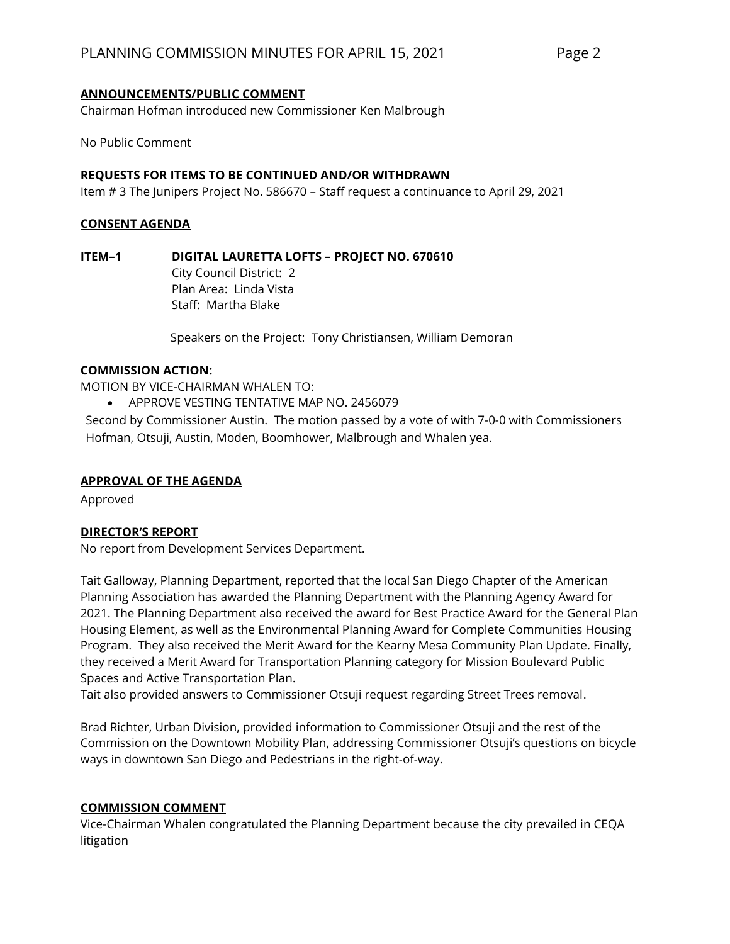#### **ANNOUNCEMENTS/PUBLIC COMMENT**

Chairman Hofman introduced new Commissioner Ken Malbrough

No Public Comment

#### **REQUESTS FOR ITEMS TO BE CONTINUED AND/OR WITHDRAWN**

Item # 3 The Junipers Project No. 586670 – Staff request a continuance to April 29, 2021

#### **CONSENT AGENDA**

**ITEM–1 DIGITAL LAURETTA LOFTS – PROJECT NO. 670610**

City Council District: 2 Plan Area: Linda Vista Staff: Martha Blake

Speakers on the Project: Tony Christiansen, William Demoran

#### **COMMISSION ACTION:**

MOTION BY VICE-CHAIRMAN WHALEN TO:

• APPROVE VESTING TENTATIVE MAP NO. 2456079

Second by Commissioner Austin. The motion passed by a vote of with 7-0-0 with Commissioners Hofman, Otsuji, Austin, Moden, Boomhower, Malbrough and Whalen yea.

#### **APPROVAL OF THE AGENDA**

Approved

#### **DIRECTOR'S REPORT**

No report from Development Services Department.

Tait Galloway, Planning Department, reported that the local San Diego Chapter of the American Planning Association has awarded the Planning Department with the Planning Agency Award for 2021. The Planning Department also received the award for Best Practice Award for the General Plan Housing Element, as well as the Environmental Planning Award for Complete Communities Housing Program. They also received the Merit Award for the Kearny Mesa Community Plan Update. Finally, they received a Merit Award for Transportation Planning category for Mission Boulevard Public Spaces and Active Transportation Plan.

Tait also provided answers to Commissioner Otsuji request regarding Street Trees removal.

Brad Richter, Urban Division, provided information to Commissioner Otsuji and the rest of the Commission on the Downtown Mobility Plan, addressing Commissioner Otsuji's questions on bicycle ways in downtown San Diego and Pedestrians in the right-of-way.

#### **COMMISSION COMMENT**

Vice-Chairman Whalen congratulated the Planning Department because the city prevailed in CEQA litigation